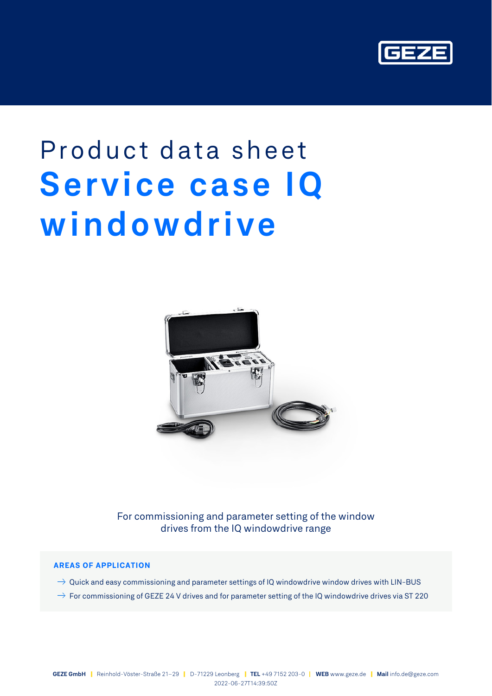

# Product data sheet **Service case IQ windowdrive**



For commissioning and parameter setting of the window drives from the IQ windowdrive range

## **AREAS OF APPLICATION**

- $\rightarrow$  Quick and easy commissioning and parameter settings of IQ windowdrive window drives with LIN-BUS
- $\rightarrow$  For commissioning of GEZE 24 V drives and for parameter setting of the IQ windowdrive drives via ST 220